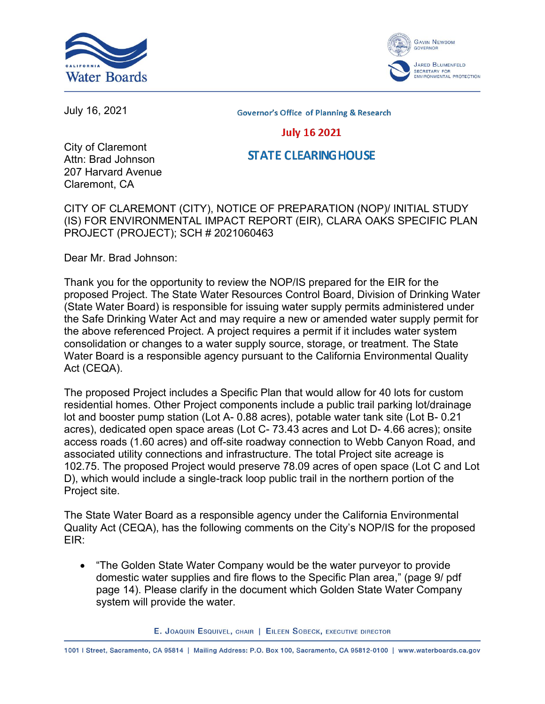



July 16, 2021

**Governor's Office of Planning & Research** 

## **July 16 2021**

## **STATE CLEARING HOUSE**

City of Claremont Attn: Brad Johnson 207 Harvard Avenue Claremont, CA

CITY OF CLAREMONT (CITY), NOTICE OF PREPARATION (NOP)/ INITIAL STUDY (IS) FOR ENVIRONMENTAL IMPACT REPORT (EIR), CLARA OAKS SPECIFIC PLAN PROJECT (PROJECT); SCH # 2021060463

Dear Mr. Brad Johnson:

Thank you for the opportunity to review the NOP/IS prepared for the EIR for the proposed Project. The State Water Resources Control Board, Division of Drinking Water (State Water Board) is responsible for issuing water supply permits administered under the Safe Drinking Water Act and may require a new or amended water supply permit for the above referenced Project. A project requires a permit if it includes water system consolidation or changes to a water supply source, storage, or treatment. The State Water Board is a responsible agency pursuant to the California Environmental Quality Act (CEQA).

The proposed Project includes a Specific Plan that would allow for 40 lots for custom residential homes. Other Project components include a public trail parking lot/drainage lot and booster pump station (Lot A- 0.88 acres), potable water tank site (Lot B- 0.21 acres), dedicated open space areas (Lot C- 73.43 acres and Lot D- 4.66 acres); onsite access roads (1.60 acres) and off-site roadway connection to Webb Canyon Road, and associated utility connections and infrastructure. The total Project site acreage is 102.75. The proposed Project would preserve 78.09 acres of open space (Lot C and Lot D), which would include a single-track loop public trail in the northern portion of the Project site.

The State Water Board as a responsible agency under the California Environmental Quality Act (CEQA), has the following comments on the City's NOP/IS for the proposed EIR:

· "The Golden State Water Company would be the water purveyor to provide domestic water supplies and fire flows to the Specific Plan area," (page 9/ pdf page 14). Please clarify in the document which Golden State Water Company system will provide the water.

E. JOAQUIN ESQUIVEL, CHAIR | EILEEN SOBECK, EXECUTIVE DIRECTOR

1001 | Street, Sacramento, CA 95814 | Mailing Address: P.O. Box 100, Sacramento, CA 95812-0100 | www.waterboards.ca.gov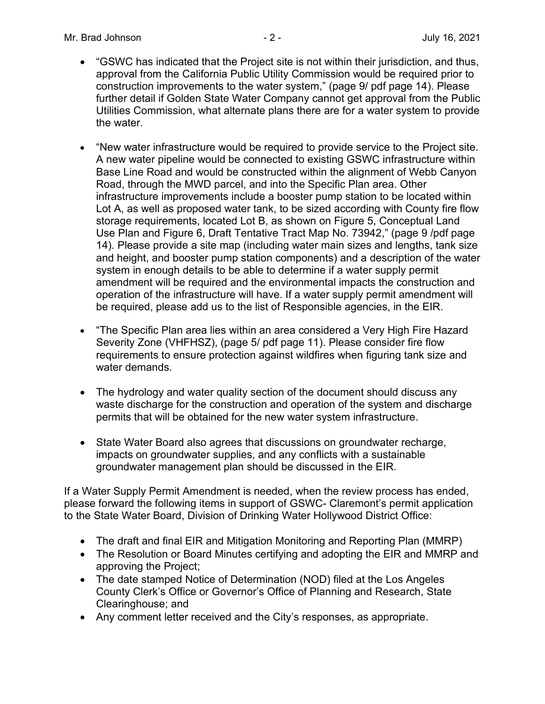- · "GSWC has indicated that the Project site is not within their jurisdiction, and thus, approval from the California Public Utility Commission would be required prior to construction improvements to the water system," (page 9/ pdf page 14). Please further detail if Golden State Water Company cannot get approval from the Public Utilities Commission, what alternate plans there are for a water system to provide the water.
- · "New water infrastructure would be required to provide service to the Project site. A new water pipeline would be connected to existing GSWC infrastructure within Base Line Road and would be constructed within the alignment of Webb Canyon Road, through the MWD parcel, and into the Specific Plan area. Other infrastructure improvements include a booster pump station to be located within Lot A, as well as proposed water tank, to be sized according with County fire flow storage requirements, located Lot B, as shown on Figure 5, Conceptual Land Use Plan and Figure 6, Draft Tentative Tract Map No. 73942," (page 9 /pdf page 14). Please provide a site map (including water main sizes and lengths, tank size and height, and booster pump station components) and a description of the water system in enough details to be able to determine if a water supply permit amendment will be required and the environmental impacts the construction and operation of the infrastructure will have. If a water supply permit amendment will be required, please add us to the list of Responsible agencies, in the EIR.
- · "The Specific Plan area lies within an area considered a Very High Fire Hazard Severity Zone (VHFHSZ), (page 5/ pdf page 11). Please consider fire flow requirements to ensure protection against wildfires when figuring tank size and water demands.
- The hydrology and water quality section of the document should discuss any waste discharge for the construction and operation of the system and discharge permits that will be obtained for the new water system infrastructure.
- State Water Board also agrees that discussions on groundwater recharge, impacts on groundwater supplies, and any conflicts with a sustainable groundwater management plan should be discussed in the EIR.

If a Water Supply Permit Amendment is needed, when the review process has ended, please forward the following items in support of GSWC- Claremont's permit application to the State Water Board, Division of Drinking Water Hollywood District Office:

- The draft and final EIR and Mitigation Monitoring and Reporting Plan (MMRP)
- The Resolution or Board Minutes certifying and adopting the EIR and MMRP and approving the Project;
- The date stamped Notice of Determination (NOD) filed at the Los Angeles County Clerk's Office or Governor's Office of Planning and Research, State Clearinghouse; and
- · Any comment letter received and the City's responses, as appropriate.